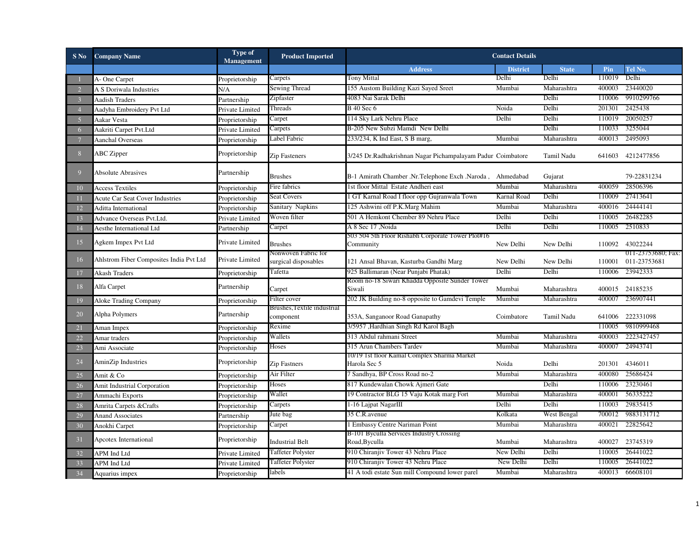| $S$ No         | <b>Company Name</b>                     | <b>Type of</b><br>Management | <b>Product Imported</b>                     |                                                                | <b>Contact Details</b> |                   |        |                                    |
|----------------|-----------------------------------------|------------------------------|---------------------------------------------|----------------------------------------------------------------|------------------------|-------------------|--------|------------------------------------|
|                |                                         |                              |                                             | <b>Address</b>                                                 | <b>District</b>        | <b>State</b>      | Pin    | Tel No.                            |
|                | A-One Carpet                            | Proprietorship               | Carpets                                     | Tony Mittal                                                    | Delhi                  | Delhi             | 110019 | Delhi                              |
|                | A S Doriwala Industries                 | N/A                          | Sewing Thread                               | 155 Austom Building Kazi Sayed Sreet                           | Mumbai                 | Maharashtra       | 400003 | 23440020                           |
|                | <b>Aadish Traders</b>                   | Partnership                  | Zipfaster                                   | 4083 Nai Sarak Delhi                                           |                        | Delhi             | 110006 | 9910299766                         |
|                | Aadyha Embroidery Pvt Ltd               | Private Limited              | Threads                                     | <b>B</b> 40 Sec 6                                              | Noida                  | Delhi             | 201301 | 2425438                            |
| 5              | Aakar Vesta                             | Proprietorship               | Carpet                                      | 114 Sky Lark Nehru Place                                       | Delhi                  | Delhi             | 110019 | 20050257                           |
| 6              | Aakriti Carpet Pvt.Ltd                  | Private Limited              | Carpets                                     | B-205 New Subzi Mamdi New Delhi                                |                        | Delhi             | 110033 | 3255044                            |
| $\overline{7}$ | <b>Aanchal Overseas</b>                 | Proprietorship               | Label Fabric                                | 233/234, K Ind East, S B marg,                                 | Mumbai                 | Maharashtra       | 400013 | 2495093                            |
| 8              | <b>ABC</b> Zipper                       | Proprietorship               | <b>Zip Fasteners</b>                        | 3/245 Dr. Radhakrishnan Nagar Pichampalayam Padur Coimbatore   |                        | Tamil Nadu        |        | 641603 4212477856                  |
| 9              | <b>Absolute Abrasives</b>               | Partnership                  | <b>Brushes</b>                              | B-1 Amirath Chamber .Nr.Telephone Exch .Naroda, Ahmedabad      |                        | Gujarat           |        | 79-22831234                        |
| 10             | <b>Access Textiles</b>                  | Proprietorship               | Fire fabrics                                | 1st floor Mittal Estate Andheri east                           | Mumbai                 | Maharashtra       | 400059 | 28506396                           |
| 11             | <b>Acute Car Seat Cover Industries</b>  | Proprietorship               | <b>Seat Covers</b>                          | 1 GT Karnal Road I floor opp Gujranwala Town                   | Karnal Road            | Delhi             | 110009 | 27413641                           |
| 12             | Aditta International                    | Proprietorship               | Sanitary Napkins                            | 125 Ashwini off P.K.Marg Mahim                                 | Mumbai                 | Maharashtra       | 400016 | 24444141                           |
| 13             | Advance Overseas Pvt.Ltd.               | Private Limited              | Woven filter                                | 501 A Hemkont Chember 89 Nehru Place                           | Delhi                  | Delhi             | 110005 | 26482285                           |
| 14             | Aesthe International Ltd                | Partnership                  | Carpet                                      | A 8 Sec 17 Noida                                               | Delhi                  | Delhi             | 110005 | 2510833                            |
| 15             | Agkem Impex Pvt Ltd                     | Private Limited              | <b>Brushes</b>                              | 503 504 5th Floor Rishabh Corporate Tower Plot#16<br>Community | New Delhi              | New Delhi         |        | 110092 43022244                    |
| 16             | Ahlstrom Fiber Composites India Pvt Ltd | Private Limited              | Nonwoven Fabric for<br>surgical disposables | 121 Ansal Bhavan, Kasturba Gandhi Marg                         | New Delhi              | New Delhi         | 110001 | 011-23753680; Fax:<br>011-23753681 |
| 17             | Akash Traders                           | Proprietorship               | Tafetta                                     | 925 Ballimaran (Near Punjabi Phatak)                           | Delhi                  | Delhi             | 110006 | 23942333                           |
| 18             | Alfa Carpet                             | Partnership                  | Carpet                                      | Room no-18 Siwari Khadda Opposite Sunder Tower<br>Siwali       | Mumbai                 | Maharashtra       |        | 400015 24185235                    |
| 19             | Aloke Trading Company                   | Proprietorship               | Filter cover                                | 202 JK Building no-8 opposite to Gamdevi Temple                | Mumbai                 | Maharashtra       | 400007 | 236907441                          |
| 20             | Alpha Polymers                          | Partnership                  | Brushes, l'extile industrial<br>component   | 353A, Sanganoor Road Ganapathy                                 | Coimbatore             | <b>Tamil Nadu</b> | 641006 | 222331098                          |
| 21             | Aman Impex                              | Proprietorship               | Rexime                                      | 3/5957 ,Hardhian Singh Rd Karol Bagh                           |                        |                   | 110005 | 9810999468                         |
| 22             | Amar traders                            | Proprietorship               | Wallets                                     | 313 Abdul rahmani Street                                       | Mumbai                 | Maharashtra       | 400003 | 2223427457                         |
| 23             | Ami Associate                           | Proprietorship               | Hoses                                       | 315 Arun Chambers Tardev                                       | Mumbai                 | Maharashtra       | 400007 | 24943741                           |
| 24             | AminZip Industries                      | Proprietorship               | <b>Zip Fastners</b>                         | 10/19 1st floor Kamal Complex Sharma Market<br>Harola Sec 5    | Noida                  | Delhi             | 201301 | 4346011                            |
| 25             | Amit & Co                               | Proprietorship               | Air Filter                                  | 7 Sandhya, BP Cross Road no-2                                  | Mumbai                 | Maharashtra       | 400080 | 25686424                           |
| 26             | Amit Industrial Corporation             | Proprietorship               | Hoses                                       | 817 Kundewalan Chowk Ajmeri Gate                               |                        | Delhi             | 110006 | 23230461                           |
| 27             | Ammachi Exports                         | Proprietorship               | Wallet                                      | 19 Contractor BLG 15 Vaju Kotak marg Fort                      | Mumbai                 | Maharashtra       | 400001 | 56335222                           |
| 28             | Amrita Carpets & Crafts                 | Proprietorship               | Carpets                                     | 1-16 Lajpat NagarIII                                           | Delhi                  | Delhi             | 110003 | 29835415                           |
| 29             | <b>Anand Associates</b>                 | Partnership                  | Jute bag                                    | 35 C.R. avenue                                                 | Kolkata                | West Bengal       | 700012 | 9883131712                         |
| 30             | Anokhi Carpet                           | Proprietorship               | Carpet                                      | 1 Embassy Centre Nariman Point                                 | Mumbai                 | Maharashtra       | 400021 | 22825642                           |
| 31             | Apcotex International                   | Proprietorship               | <b>Industrial Belt</b>                      | B-101 Byculla Services Industry Crossing<br>Road, Byculla      | Mumbai                 | Maharashtra       | 400027 | 23745319                           |
| 32             | APM Ind Ltd                             | Private Limited              | <b>Taffeter Polyster</b>                    | 910 Chiranjiv Tower 43 Nehru Place                             | New Delhi              | Delhi             | 110005 | 26441022                           |
| 33             | APM Ind Ltd                             | Private Limited              | <b>Taffeter Polyster</b>                    | 910 Chiranjiv Tower 43 Nehru Place                             | New Delhi              | Delhi             | 110005 | 26441022                           |
| 34             | Aquarius impex                          | Proprietorship               | labels                                      | 41 A todi estate Sun mill Compound lower parel                 | Mumbai                 | Maharashtra       |        | 400013 66608101                    |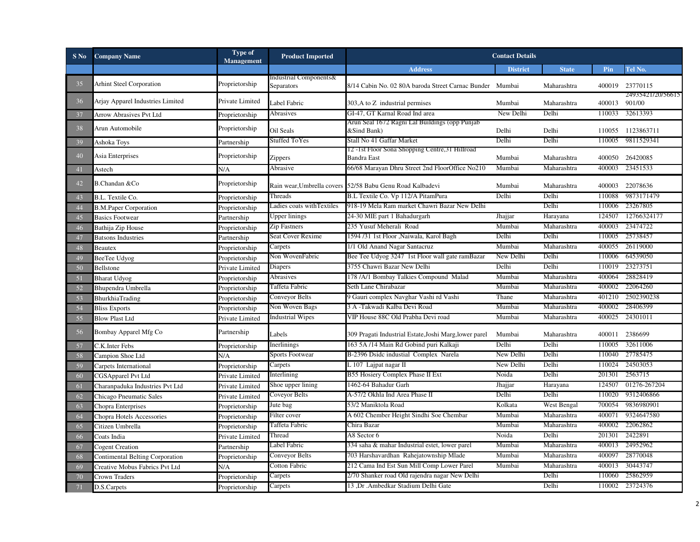| $S$ No | <b>Company Name</b>              | Type of<br>Management | <b>Product Imported</b>              |                                                                        | <b>Contact Details</b> |              |               |                   |
|--------|----------------------------------|-----------------------|--------------------------------------|------------------------------------------------------------------------|------------------------|--------------|---------------|-------------------|
|        |                                  |                       |                                      | <b>Address</b>                                                         | <b>District</b>        | <b>State</b> | Pin           | Tel No.           |
| 35     | <b>Arhint Steel Corporation</b>  | Proprietorship        | Industrial Components&<br>Separators | 8/14 Cabin No. 02 80A baroda Street Carnac Bunder Mumbai               |                        | Maharashtra  | 400019        | 23770115          |
| 36     | Arjay Apparel Industries Limited | Private Limited       | Label Fabric                         | 303, A to Z industrial permises                                        | Mumbai                 | Maharashtra  | 400013 901/00 | 24935421/20/56615 |
| 37     | Arrow Abrasives Pvt Ltd          | Proprietorship        | Abrasives                            | GI-47, GT Karnal Road Ind area                                         | New Delhi              | Delhi        | 110033        | 32613393          |
| 38     | Arun Automobile                  | Proprietorship        | Oil Seals                            | Arun Seal 1672 Ragni Lal Buildings (opp Punjab<br>&Sind Bank)          | Delhi                  | Delhi        |               | 110055 1123863711 |
| 39     | Ashoka Toys                      | Partnership           | <b>Stuffed ToYes</b>                 | Stall No 41 Gaffar Market                                              | Delhi                  | Delhi        | 110005        | 9811529341        |
| 40     | Asia Enterprises                 | Proprietorship        | Zippers                              | 12 - 1st Floor Sona Shopping Centre, 31 Hillroad<br><b>Bandra East</b> | Mumbai                 | Maharashtra  | 400050        | 26420085          |
| 41     | Astech                           | N/A                   | Abrasive                             | 66/68 Marayan Dhru Street 2nd FloorOffice No210                        | Mumbai                 | Maharashtra  | 400003        | 23451533          |
| 42     | B.Chandan &Co                    | Proprietorship        |                                      | Rain wear, Umbrella covers 52/58 Babu Genu Road Kalbadevi              | Mumbai                 | Maharashtra  | 400003        | 22078636          |
| 43     | B.L. Textile Co.                 | Proprietorship        | Threads                              | B.L Textile Co. Vp 112/A PitamPura                                     | Delhi                  | Delhi        | 110088        | 9873171479        |
| 44     | <b>B.M.Paper Corporation</b>     | Proprietorship        | Ladies coats withTextiles            | 918-19 Mela Ram market Chawri Bazar New Delhi                          |                        | Delhi        | 110006        | 23267805          |
| 45     | <b>Basics Footwear</b>           | Partnership           | Upper linings                        | 24-30 MIE part 1 Bahadurgarh                                           | Jhajjar                | Harayana     | 124507        | 12766324177       |
| 46     | Bathija Zip House                | Proprietorship        | Zip Fastners                         | 235 Yusuf Meherali Road                                                | Mumbai                 | Maharashtra  | 400003        | 23474722          |
| 47     | <b>Batsons Industries</b>        | Partnership           | <b>Seat Cover Rexime</b>             | 1594 /31 1st Floor , Naiwala, Karol Bagh                               | Delhi                  | Delhi        | 110005        | 25738457          |
| 48     | Beautex                          | Proprietorship        | Carpets                              | 1/1 Old Anand Nagar Santacruz                                          | Mumbai                 | Maharashtra  | 400055        | 26119000          |
| 49     | BeeTee Udyog                     | Proprietorship        | Non WovenFabric                      | Bee Tee Udyog 3247 1st Floor wall gate ramBazar                        | New Delhi              | Delhi        | 110006        | 64539050          |
| 50     | Bellstone                        | Private Limited       | Diapers                              | 3755 Chawri Bazar New Delhi                                            | Delhi                  | Delhi        | 110019        | 23273751          |
| 51     | <b>Bharat Udyog</b>              | Proprietorship        | Abrasives                            | 178 /A/1 Bombay Talkies Compound Malad                                 | Mumbai                 | Maharashtra  | 400064        | 28828419          |
| 52     | Bhupendra Umbrella               | Proprietorship        | Taffeta Fabric                       | Seth Lane Chirabazar                                                   | Mumbai                 | Maharashtra  | 400002        | 22064260          |
| 53     | BhurkhiaTrading                  | Proprietorship        | Conveyor Belts                       | 9 Gauri complex Navghar Vashi rd Vashi                                 | Thane                  | Maharashtra  | 401210        | 2502390238        |
| 54     | <b>Bliss Exports</b>             | Proprietorship        | Non Woven Bags                       | 3 A -Takwadi Kalba Devi Road                                           | Mumbai                 | Maharashtra  | 400002        | 28406399          |
| 55     | <b>Blow Plast Ltd</b>            | Private Limited       | <b>Industrial Wipes</b>              | VIP House 88C Old Prabha Devi road                                     | Mumbai                 | Maharashtra  | 400025        | 24301011          |
| 56     | Bombay Apparel Mfg Co            | Partnership           | Labels                               | 309 Pragati Industrial Estate, Joshi Marg, lower parel                 | Mumbai                 | Maharashtra  | 400011        | 2386699           |
| 57     | C.K.Inter Febs                   | Proprietorship        | Inerlinings                          | 163 5A /14 Main Rd Gobind puri Kalkaji                                 | Delhi                  | Delhi        | 110005        | 32611006          |
| 58     | Campion Shoe Ltd                 | N/A                   | <b>Sports Footwear</b>               | B-2396 Dsidc industial Complex Narela                                  | New Delhi              | Delhi        | 110040        | 27785475          |
| 59     | Carpets International            | Proprietorship        | Carpets                              | L 107 Lajpat nagar II                                                  | New Delhi              | Delhi        | 110024        | 24503053          |
| 60     | <b>CGSApparel Pvt Ltd</b>        | Private Limited       | Interlining                          | B55 Hosiery Complex Phase II Ext                                       | Noida                  | Delhi        | 201301        | 2563715           |
| 61     | Charanpaduka Industries Pvt Ltd  | Private Limited       | Shoe upper lining                    | 1462-64 Bahadur Garh                                                   | Jhajjar                | Harayana     | 124507        | 01276-267204      |
| 62     | Chicago Pneumatic Sales          | Private Limited       | Coveyor Belts                        | A-57/2 Okhla Ind Area Phase II                                         | Delhi                  | Delhi        | 110020        | 9312406866        |
| 63     | Chopra Enterprises               | Proprietorship        | Jute bag                             | 53/2 Maniktola Road                                                    | Kolkata                | West Bengal  | 700054        | 9836980901        |
| 64     | Chopra Hotels Accessories        | Proprietorship        | Filter cover                         | A 602 Chember Height Sindhi Soe Chembar                                | Mumbai                 | Maharashtra  | 400071        | 9324647580        |
| 65     | Citizen Umbrella                 | Proprietorship        | Taffeta Fabric                       | Chira Bazar                                                            | Mumbai                 | Maharashtra  | 400002        | 22062862          |
| 66     | Coats India                      | Private Limited       | Thread                               | A8 Sector 6                                                            | Noida                  | Delhi        | 201301        | 2422891           |
| 67     | <b>Cogent Creation</b>           | Partnership           | Label Fabric                         | 334 saha & mahar Industrial estet, lower parel                         | Mumbai                 | Maharashtra  | 400013        | 24952962          |
| 68     | Contimental Belting Corporation  | Proprietorship        | Conveyor Belts                       | 703 Harshavardhan Rahejatownship Mlade                                 | Mumbai                 | Maharashtra  | 400097        | 28770048          |
| 69     | Creative Mobus Fabrics Pvt Ltd   | N/A                   | Cotton Fabric                        | 212 Cama Ind Est Sun Mill Comp Lower Parel                             | Mumbai                 | Maharashtra  | 400013        | 30443747          |
| 70     | Crown Traders                    | Proprietorship        | Carpets                              | 2/70 Shanker road Old rajendra nagar New Delhi                         |                        | Delhi        | 110060        | 25862959          |
| 71     | D.S.Carpets                      | Proprietorship        | Carpets                              | 13 ,Dr .Ambedkar Stadium Delhi Gate                                    |                        | Delhi        | 110002        | 23724376          |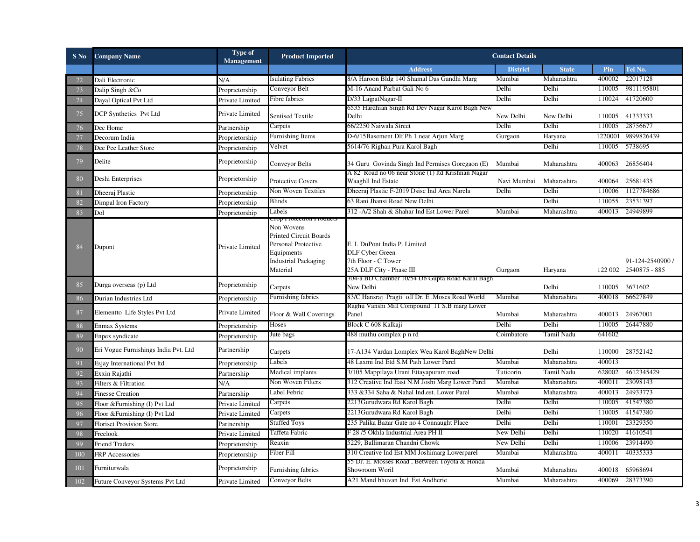| $S$ No     | <b>Company Name</b>                  | <b>Type of</b><br><b>Management</b> | <b>Product Imported</b>                                                                                                     |                                                                                                            | <b>Contact Details</b> |              |         |                                           |
|------------|--------------------------------------|-------------------------------------|-----------------------------------------------------------------------------------------------------------------------------|------------------------------------------------------------------------------------------------------------|------------------------|--------------|---------|-------------------------------------------|
|            |                                      |                                     |                                                                                                                             | <b>Address</b>                                                                                             | <b>District</b>        | <b>State</b> | Pin     | Tel No.                                   |
| 72         | Dali Electronic                      | N/A                                 | <b>Isulating Fabrics</b>                                                                                                    | 8/A Haroon Bldg 140 Shamal Das Gandhi Marg                                                                 | Mumbai                 | Maharashtra  | 400002  | 22017128                                  |
| 73         | Dalip Singh &Co                      | Proprietorship                      | Conveyor Belt                                                                                                               | M-16 Anand Parbat Gali No 6                                                                                | Delhi                  | Delhi        | 110005  | 9811195801                                |
| 74         | Dayal Optical Pvt Ltd                | Private Limited                     | Fibre fabrics                                                                                                               | D/33 LajpatNagar-II                                                                                        | Delhi                  | Delhi        | 110024  | 41720600                                  |
| 75         | DCP Synthetics Pvt Ltd               | Private Limited                     | <b>Sentised Textile</b>                                                                                                     | 6535 Hardhian Singh Rd Dev Nagar Karol Bagh New<br>Delhi                                                   | New Delhi              | New Delhi    |         | 110005 41333333                           |
| 76         | Dec Home                             | Partnership                         | Carpets                                                                                                                     | 66/2250 Naiwala Street                                                                                     | Delhi                  | Delhi        | 110005  | 28756677                                  |
| 77         | Decorum India                        | Proprietorship                      | <b>Furnishing Items</b>                                                                                                     | D-6/15Basement Dlf Ph 1 near Arjun Marg                                                                    | Gurgaon                | Haryana      | 1220001 | 9899826439                                |
| 78         | Dee Pee Leather Store                | Proprietorship                      | Velvet                                                                                                                      | 5614/76 Righan Pura Karol Bagh                                                                             |                        | Delhi        | 110005  | 5738695                                   |
| 79         | Delite                               | Proprietorship                      | Conveyor Belts                                                                                                              | 34 Guru Govinda Singh Ind Permises Goregaon (E)                                                            | Mumbai                 | Maharashtra  |         | 400063 26856404                           |
| 80         | Deshi Enterprises                    | Proprietorship                      | Protective Covers                                                                                                           | A 82 Road no 06 near Stone (1) ltd Krishnan Nagar<br>Waaghll Ind Estate                                    | Navi Mumbai            | Maharashtra  |         | 400064 25681435                           |
| 81         | Dheeraj Plastic                      | Proprietorship                      | Non Woven Textiles                                                                                                          | Dheeraj Plastic F-2019 Dsisc Ind Area Narela                                                               | Delhi                  | Delhi        |         | 110006 1127784686                         |
| 82         | Dimpal Iron Factory                  | Proprietorship                      | Blinds                                                                                                                      | 63 Rani Jhansi Road New Delhi                                                                              |                        | Delhi        | 110055  | 23531397                                  |
| 83         | Dol                                  | Proprietorship                      | Labels<br>top protection products                                                                                           | 312 -A/2 Shah & Shahar Ind Est Lower Parel                                                                 | Mumbai                 | Maharashtra  |         | 400013 24949899                           |
| 84         | Dupont                               | Private Limited                     | Non Wovens<br><b>Printed Circuit Boards</b><br>Personal Protective<br>Equipments<br><b>Industrial Packaging</b><br>Material | E. I. DuPont India P. Limited<br><b>DLF Cyber Green</b><br>7th Floor - C Tower<br>25A DLF City - Phase III | Gurgaon                | Haryana      |         | 91-124-2540900 /<br>122 002 2540875 - 885 |
| 85         | Durga overseas (p) Ltd               | Proprietorship                      | Carpets                                                                                                                     | 304-a BD Chamber 10/54 Db Gupta Road Karal Bagh<br>New Delhi                                               |                        | Delhi        |         | 110005 3671602                            |
| 86         | Durian Industries Ltd                | Proprietorship                      | <b>Furnishing fabrics</b>                                                                                                   | 83/C Hansraj Pragti off Dr. E . Moses Road World                                                           | Mumbai                 | Maharashtra  | 400018  | 66627849                                  |
| 87         | Elementto Life Styles Pvt Ltd        | Private Limited                     | Floor & Wall Coverings                                                                                                      | Raghu Vanshi Mill Compound 11 S.B marg Lower<br>Panel                                                      | Mumbai                 | Maharashtra  |         | 400013 24967001                           |
| 88         | <b>Enmax Systems</b>                 | Proprietorship                      | Hoses                                                                                                                       | Block C 608 Kalkaji                                                                                        | Delhi                  | Delhi        | 110005  | 26447880                                  |
| 89         | Enpex syndicate                      | Proprietorship                      | Jute bags                                                                                                                   | 488 muthu complex p n rd                                                                                   | Coimbatore             | Tamil Nadu   | 641602  |                                           |
| 90         | Eri Vogue Furnishings India Pvt. Ltd | Partnership                         | Carpets                                                                                                                     | 17-A134 Vardan Lomplex Wea Karol BaghNew Delhi                                                             |                        | Delhi        |         | 110000 28752142                           |
| 91         | Esjay International Pvt ltd          | Proprietorship                      | Labels                                                                                                                      | 48 Laxmi Ind Etd S.M Path Lower Parel                                                                      | Mumbai                 | Maharashtra  | 400013  |                                           |
| 92         | Exxin Rajathi                        | Partnership                         | Medical implants                                                                                                            | 3/105 Mappilaya Urani Ettayapuram road                                                                     | Tuticorin              | Tamil Nadu   | 628002  | 4612345429                                |
| 93         | Filters & Filtration                 | N/A                                 | Non Woven Filters                                                                                                           | 312 Creative Ind East N.M Joshi Marg Lower Parel                                                           | Mumbai                 | Maharashtra  | 400011  | 23098143                                  |
| 94         | <b>Finesse Creation</b>              | Partnership                         | Label Febric                                                                                                                | 333 &334 Saha & Nahal Ind.est. Lower Parel                                                                 | Mumbai                 | Maharashtra  | 400013  | 24933773                                  |
| 95         | Floor & Furnishing (I) Pvt Ltd       | Private Limited                     | Carpets                                                                                                                     | 2213Gurudwara Rd Karol Bagh                                                                                | Delhi                  | Delhi        | 110005  | 41547380                                  |
| 96         | Floor & Furnishing (I) Pvt Ltd       | Private Limited                     | Carpets                                                                                                                     | 2213Gurudwara Rd Karol Bagh                                                                                | Delhi                  | Delhi        | 110005  | 41547380                                  |
| 97         | <b>Floriset Provision Store</b>      | Partnership                         | <b>Stuffed Toys</b>                                                                                                         | 235 Palika Bazar Gate no 4 Connaught Place                                                                 | Delhi                  | Delhi        | 110001  | 23329350                                  |
| 98         | Freelook                             | Private Limited                     | Taffeta Fabric                                                                                                              | F 28 /5 Okhla Industrial Area PH II                                                                        | New Delhi              | Delhi        | 110020  | 41610541                                  |
| 99         | <b>Friend Traders</b>                | Proprietorship                      | Reaxin                                                                                                                      | 5229, Ballimaran Chandni Chowk                                                                             | New Delhi              | Delhi        | 110006  | 23914490                                  |
| 100        | FRP Accessories                      | Proprietorship                      | Fiber Fill                                                                                                                  | 310 Creative Ind Est MM Joshimarg Lowerparel                                                               | Mumbai                 | Maharashtra  | 400011  | 40335333                                  |
| <b>101</b> | Furniturwala                         | Proprietorship                      | Furnishing fabrics                                                                                                          | 55 Dr. E. Mosses Road , Between Toyota & Honda<br>Showroom Woril                                           | Mumbai                 | Maharashtra  |         | 400018 65968694                           |
| 102        | Future Conveyor Systems Pvt Ltd      | Private Limited                     | Conveyor Belts                                                                                                              | A21 Mand bhuvan Ind Est Andherie                                                                           | Mumbai                 | Maharashtra  | 400069  | 28373390                                  |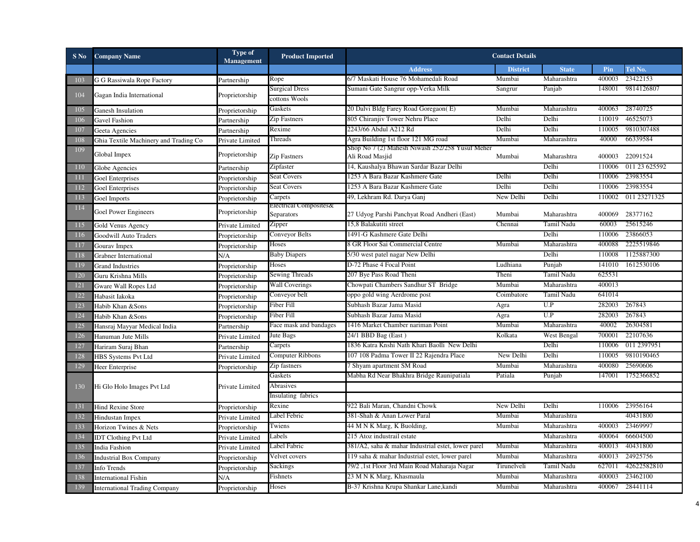| $S$ No         | <b>Company Name</b>                   | <b>Type of</b><br><b>Management</b> | <b>Product Imported</b>              |                                                                    | <b>Contact Details</b> |                   |        |               |
|----------------|---------------------------------------|-------------------------------------|--------------------------------------|--------------------------------------------------------------------|------------------------|-------------------|--------|---------------|
|                |                                       |                                     |                                      | <b>Address</b>                                                     | <b>District</b>        | <b>State</b>      | Pin    | Tel No.       |
| 103            | G G Rassiwala Rope Factory            | Partnership                         | Rope                                 | 6/7 Maskati House 76 Mohamedali Road                               | Mumbai                 | Maharashtra       | 400003 | 23422153      |
|                |                                       |                                     | <b>Surgical Dress</b>                | Sumani Gate Sangrur opp-Verka Milk                                 | Sangrur                | Panjab            | 148001 | 9814126807    |
| 104            | Gagan India International             | Proprietorship                      | cottons Wools                        |                                                                    |                        |                   |        |               |
| 105            | Ganesh Insulation                     | Proprietorship                      | Gaskets                              | 20 Dalvi Bldg Farey Road Goregaon(E)                               | Mumbai                 | Maharashtra       | 400063 | 28740725      |
| 106            | Gavel Fashion                         | Partnership                         | <b>Zip Fastners</b>                  | 805 Chiranjiv Tower Nehru Place                                    | Delhi                  | Delhi             | 110019 | 46525073      |
| 107            | Geeta Agencies                        | Partnership                         | Rexime                               | 2243/66 Abdul A212 Rd                                              | Delhi                  | Delhi             | 110005 | 9810307488    |
| 108            | Ghia Textile Machinery and Trading Co | Private Limited                     | Threads                              | Agra Building 1st floor 121 MG road                                | Mumbai                 | Maharashtra       | 40000  | 66339584      |
| 109            | Global Impex                          | Proprietorship                      | Zip Fastners                         | Shop No 7 (2) Mahesh Niwash 252/258 Yusuf Meher<br>Ali Road Masjid | Mumbai                 | Maharashtra       | 400003 | 22091524      |
| <b>110</b>     | Globe Agencies                        | Partnership                         | Zipfaster                            | 14, Kaushalya Bhawan Sardar Bazar Delhi                            |                        | Delhi             | 110006 | 011 23 625592 |
| <b>111</b>     | Goel Enterprises                      | Proprietorship                      | Seat Covers                          | 1253 A Bara Bazar Kashmere Gate                                    | Delhi                  | Delhi             | 110006 | 23983554      |
| 112            | Goel Enterprises                      | Proprietorship                      | <b>Seat Covers</b>                   | 1253 A Bara Bazar Kashmere Gate                                    | Delhi                  | Delhi             | 110006 | 23983554      |
| 113            | Goel Imports                          | Proprietorship                      | Carpets                              | 49, Lekhram Rd. Darya Ganj                                         | New Delhi              | Delhi             | 110002 | 011 23271325  |
| 114            | Goel Power Engineers                  | Proprietorship                      | Electrical Composites&<br>Separators | 27 Udyog Parshi Panchyat Road Andheri (East)                       | Mumbai                 | Maharashtra       | 400069 | 28377162      |
| 115            | Gold Venus Agency                     | Private Limited                     | Zipper                               | 15,8 Balakutiti street                                             | Chennai                | Tamil Nadu        | 60003  | 25615246      |
| <sup>116</sup> | Goodwill Auto Traders                 | Proprietorship                      | Conveyor Belts                       | 1491-G Kashmere Gate Delhi                                         |                        | Delhi             | 110006 | 23866053      |
| 117            | Gourav Impex                          | Proprietorship                      | Hoses                                | 8 GR Floor Sai Commercial Centre                                   | Mumbai                 | Maharashtra       | 400088 | 2225519846    |
| 118            | Grabner International                 | N/A                                 | <b>Baby Diapers</b>                  | 5/30 west patel nagar New Delhi                                    |                        | Delhi             | 110008 | 1125887300    |
| 119            | <b>Grand Industries</b>               | Proprietorship                      | Hoses                                | D-72 Phase 4 Focal Point                                           | Ludhiana               | Punjab            | 141010 | 1612530106    |
| 120            | Guru Krishna Mills                    | Proprietorship                      | Sewing Threads                       | 207 Bye Pass Road Theni                                            | Theni                  | Tamil Nadu        | 625531 |               |
| 121            | Gware Wall Ropes Ltd                  | Proprietorship                      | <b>Wall Coverings</b>                | Chowpati Chambers Sandhur ST Bridge                                | Mumbai                 | Maharashtra       | 400013 |               |
| 122            | Habasit Iakoka                        | Proprietorship                      | Conveyor belt                        | oppo gold wing Aerdrome post                                       | Coimbatore             | Tamil Nadu        | 641014 |               |
| 123            | Habib Khan &Sons                      | Proprietorship                      | Fiber Fill                           | Subhash Bazar Jama Masid                                           | Agra                   | U.P               | 282003 | 267843        |
| 124            | Habib Khan &Sons                      | Proprietorship                      | Fiber Fill                           | Subhash Bazar Jama Masid                                           | Agra                   | U.P               | 282003 | 267843        |
| 125            | Hansraj Mayyar Medical India          | Partnership                         | Face mask and bandages               | 1416 Market Chamber nariman Point                                  | Mumbai                 | Maharashtra       | 40002  | 26304581      |
| 126            | Hanuman Jute Mills                    | Private Limited                     | Jute Bags                            | 24/1 BBD Bag (East)                                                | Kolkata                | West Bengal       | 700001 | 22107636      |
| 127            | Hariram Suraj Bhan                    | Partnership                         | Carpets                              | 1836 Katra Knshi Nath Khari Baolli New Delhi                       |                        | Delhi             | 110006 | 011 2397951   |
| 128            | <b>HBS Systems Pvt Ltd</b>            | Private Limited                     | Computer Ribbons                     | 107 108 Padma Tower II 22 Rajendra Place                           | New Delhi              | Delhi             | 110005 | 9810190465    |
| 129            | Heer Enterprise                       | Proprietorship                      | Zip fastners                         | 7 Shyam apartment SM Road                                          | Mumbai                 | Maharashtra       | 400080 | 25690606      |
|                |                                       |                                     | Gaskets                              | Mabha Rd Near Bhakhra Bridge Raunipatiala                          | Patiala                | Punjab            | 147001 | 1752366852    |
| 130            | Hi Glo Holo Images Pvt Ltd            | Private Limited                     | Abrasives                            |                                                                    |                        |                   |        |               |
|                |                                       |                                     | Insulating fabrics                   |                                                                    |                        |                   |        |               |
| 131            | <b>Hind Rexine Store</b>              | Proprietorship                      | Rexine                               | 922 Bali Maran, Chandni Chowk                                      | New Delhi              | Delhi             | 110006 | 23956164      |
| 132            | Hindustan Impex                       | Private Limited                     | Label Febric                         | 381-Shah & Anan Lower Paral                                        | Mumbai                 | Maharashtra       |        | 40431800      |
| 133            | Horizon Twines & Nets                 | Proprietorship                      | Twiens                               | 44 M N K Marg, K Buolding,                                         | Mumbai                 | Maharashtra       | 400003 | 23469997      |
| 134            | <b>IDT Clothing Pvt Ltd</b>           | Private Limited                     | Labels                               | 215 Atoz industrail estate                                         |                        | Maharashtra       | 400064 | 66604500      |
| 135            | India Fashion                         | Private Limited                     | Label Fabric                         | 381/A2, saha & mahar Industrial estet, lower parel                 | Mumbai                 | Maharashtra       | 400013 | 40431800      |
| 136            | <b>Industrial Box Company</b>         | Proprietorship                      | Velvet covers                        | 119 saha & mahar Industrial estet, lower parel                     | Mumbai                 | Maharashtra       | 400013 | 24925756      |
| 137            | Info Trends                           | Proprietorship                      | Sackings                             | 79/2,1st Floor 3rd Main Road Maharaja Nagar                        | Tirunelveli            | <b>Tamil Nadu</b> | 627011 | 42622582810   |
| 138            | <b>International Fishin</b>           | N/A                                 | Fishnets                             | 23 M N K Marg, Khasmaula                                           | Mumbai                 | Maharashtra       | 400003 | 23462100      |
| 139            | <b>International Trading Company</b>  | Proprietorship                      | Hoses                                | B-37 Krishna Krupa Shankar Lane, kandi                             | Mumbai                 | Maharashtra       | 400067 | 28441114      |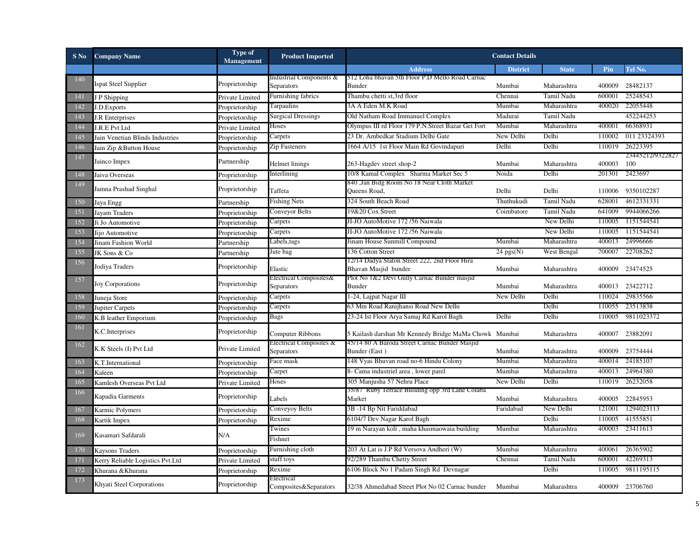| $S$ No | <b>Company Name</b>              | Type of<br>Management | <b>Product Imported</b>              |                                                                       | <b>Contact Details</b> |                   |        |                         |
|--------|----------------------------------|-----------------------|--------------------------------------|-----------------------------------------------------------------------|------------------------|-------------------|--------|-------------------------|
|        |                                  |                       |                                      | <b>Address</b>                                                        | <b>District</b>        | <b>State</b>      | Pin    | Tel No.                 |
| 140    | <b>Ispat Steel Supplier</b>      | Proprietorship        | Industrial Components &              | 512 Loha bhavan 5th Floor P.D Mello Road Carnac                       |                        |                   |        |                         |
|        |                                  |                       | Separators                           | <b>Bunder</b>                                                         | Mumbai                 | Maharashtra       | 400009 | 28482137                |
| 141    | J P Shipping                     | Private Limited       | Furnishing fabrics                   | Thambu chetti st,3rd floor                                            | Chennai                | <b>Tamil Nadu</b> | 600001 | 25248543                |
| 142    | J.D.Exports                      | Proprietorship        | Tarpaulins                           | 3A A Eden M.K Road                                                    | Mumbai                 | Maharashtra       | 400020 | 22055448                |
| 143    | J.R Enterprises                  | Proprietorship        | <b>Surgical Dressings</b>            | Old Natham Road Immanuel Complex                                      | Madurai                | Tamil Nadu        |        | 452244253               |
| 144    | J.R.E Pvt Ltd                    | Private Limited       | Hoses                                | Olympus III rd Floor 179 P.N.Street Bazar Get Fort                    | Mumbai                 | Maharashtra       | 400001 | 66368931                |
| 145    | Jain Venetian Blinds Industries  | Proprietorship        | Carpets                              | 23 Dr. Ambedkar Stadium Delhi Gate                                    | New Delhi              | Delhi             | 110002 | 011 23324393            |
| 146    | Jain Zip &Button House           | Proprietorship        | Zip Fasteners                        | 1664 A/15 1st Floor Main Rd Govindapuri                               | Delhi                  | Delhi             | 110019 | 26223395                |
| 147    | Jainco Impex                     | Partnership           | Helmet linings                       | 263-Hagdev street shop-2                                              | Mumbai                 | Maharashtra       | 400003 | 23445212/9322827<br>100 |
| 148    | Jaiva Overseas                   | Proprietorship        | Interlining                          | 10/8 Kamal Complex Sharma Market Sec 5                                | Noida                  | Delhi             | 201301 | 2423697                 |
| 149    | Jamna Prashad Singhal            | Proprietorship        | Taffeta                              | 840 "Jan Bidg Room No 18 Near Cloth Market<br>Queens Road,            | Delhi                  | Delhi             | 110006 | 9350102287              |
| 150    | Jaya Engg                        | Partnership           | <b>Fishing Nets</b>                  | 324 South Beach Road                                                  | Thuthukudi             | Tamil Nadu        | 628001 | 4612331331              |
| 151    | <b>Jayam Traders</b>             | Proprietorship        | <b>Conveyor Belts</b>                | 19&20 Cox Street                                                      | Coimbatore             | Tamil Nadu        | 641009 | 9944066266              |
| 152    | Ji Jo Automotive                 | Proprietorship        | Carpets                              | JI-JO AutoMotive 172/56 Naiwala                                       |                        | New Delhi         | 110005 | 1151544541              |
| 153    | Jijo Automotive                  | Proprietorship        | Carpets                              | JI-JO AutoMotive 172/56 Naiwala                                       |                        | New Delhi         | 110005 | 1151544541              |
| 154    | Jinam Fashion World              | Partnership           | Labels,tags                          | Jinam House Sunmill Compound                                          | Mumbai                 | Maharashtra       | 400013 | 24996666                |
| 155    | JK Sons & Co                     | Partnership           | Jute bag                             | 136 Cotton Street                                                     | $24$ pgs(N)            | West Bengal       | 700007 | 22708262                |
| 156    | Jodiya Traders                   | Proprietorship        | Elastic                              | 12/14 Dadya Staton Street 222, 2nd Floor Hira<br>Bhavan Masjid bunder | Mumbai                 | Maharashtra       |        | 400009 23474525         |
| 157    | <b>Joy Corporations</b>          | Proprietorship        | Electrical Composites&<br>Separators | Plot No 1&2 Devi Gully Carnac Bunder masjid<br>Bunder                 | Mumbai                 | Maharashtra       |        | 400013 23422712         |
| 158    | Juneja Store                     | Proprietorship        | Carpets                              | 1-24, Lajpat Nagar III                                                | New Delhi              | Delhi             | 110024 | 29835566                |
| 159    | Jupiter Carpets                  | Proprietorship        | Carpets                              | 63 Mm Road Ranijhansi Road New Delhi                                  |                        | Delhi             | 110055 | 23513838                |
| 160    | K.B leather Emporium             | Proprietorship        | Bags                                 | 23-24 Ist Floor Arya Samaj Rd Karol Bagh                              | Delhi                  | Delhi             | 110005 | 9811023372              |
| 161    | K.C.Interprises                  | Proprietorship        | Computer Ribbons                     | 5 Kailash darshan Mr Kennedy Bridge MaMa Chowk Mumbai                 |                        | Maharashtra       |        | 400007 23882091         |
| 162    | K.K Steels (I) Pvt Ltd           | Private Limited       | Electrical Composites &              | 45/14 80 A Baroda Street Carnac Bunder Masjid                         |                        |                   |        |                         |
|        |                                  |                       | Separators                           | Bunder (East)                                                         | Mumbai                 | Maharashtra       | 400009 | 23754444                |
| 163    | K.T.International                | Proprietorship        | Face mask                            | 148 Vyas Bhuvan road no-6 Hindu Colony                                | Mumbai                 | Maharashtra       | 400014 | 24185107                |
| 164    | Kaleen                           | Proprietorship        | Carpet                               | 8- Cama industriel area, lower parel                                  | Mumbai                 | Maharashtra       | 400013 | 24964380                |
| 165    | Kamlesh Overseas Pvt Ltd         | Private Limited       | Hoses                                | 305 Manjusha 57 Nehru Place                                           | New Delhi              | Delhi             | 110019 | 26232058                |
| 166    | Kapadia Garments                 | Proprietorship        | Labels                               | 35/87 Ruby Terrace Building opp 3rd Lane Colaba<br>Market             | Mumbai                 | Maharashtra       | 400005 | 22845953                |
| 167    | Karmic Polymers                  | Proprietorship        | Conveyoy Belts                       | 3B-14 Bp Nit Fariddabad                                               | Faridabad              | New Delhi         | 121001 | 1294023113              |
| 168    | Kartik Impex                     | Proprietorship        | Rexime                               | 6104/7 Dev Nagar Karol Bagh                                           |                        | Delhi             | 110005 | 41555851                |
| 169    | Kasamari Safdarali               | N/A                   | Twines                               | 19 m Narayan koli, maha khasmaowaia building                          | Mumbai                 | Maharashtra       | 400003 | 23411613                |
|        |                                  |                       | Fishnet                              |                                                                       |                        |                   |        |                         |
| 170    | <b>Kaysons Traders</b>           | Proprietorship        | Furnishing cloth                     | 203 At Lat is J.P Rd Versova Andheri (W)                              | Mumbai                 | Maharashtra       | 400061 | 26365902                |
| 171    | Kerry Reliable Logistics Pvt.Ltd | Private Limited       | stuff toys                           | 92/289 Thambu Chetty Street                                           | Chennai                | Tamil Nadu        | 600001 | 42269313                |
| 172    | Khurana & Khurana                | Proprietorship        | Rexime                               | 6106 Block No 1 Padam Singh Rd Devnagar                               |                        | Delhi             | 110005 | 9811195115              |
| 173    | Khyati Steel Corporations        | Proprietorship        | Electrical<br>Composites&Separators  | 32/38 Ahmedabad Street Plot No 02 Carnac bunder Mumbai                |                        | Maharashtra       |        | 400009 23706760         |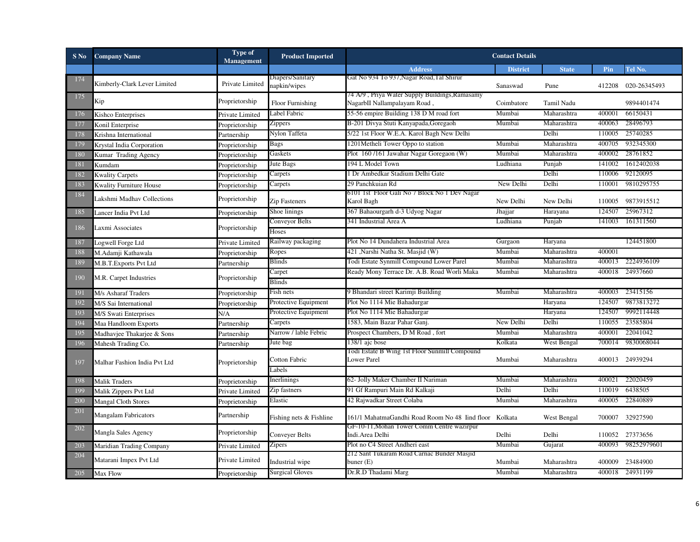| $S$ No     | <b>Company Name</b>            | Type of<br>Management | <b>Product Imported</b> |                                                                                | <b>Contact Details</b> |                   |        |                                      |
|------------|--------------------------------|-----------------------|-------------------------|--------------------------------------------------------------------------------|------------------------|-------------------|--------|--------------------------------------|
|            |                                |                       |                         | <b>Address</b>                                                                 | <b>District</b>        | <b>State</b>      | Pin    | Tel No.                              |
| 174        | Kimberly-Clark Lever Limited   | Private Limited       | Diapers/Sanitary        | Gat No 934 To 937, Nagar Road, Tal Shirur                                      |                        |                   |        |                                      |
|            |                                |                       | napkin/wipes            |                                                                                | Sanaswad               | Pune              |        | 412208 020-26345493                  |
| 175        | Kip                            | Proprietorship        | Floor Furnishing        | 74 A/9, Priya Water Supply Buildings, Ramasamy<br>NagarbII Nallampalayam Road, | Coimbatore             | <b>Tamil Nadu</b> |        | 9894401474                           |
| 176        |                                |                       | Label Fabric            | 55-56 empire Building 138 D M road fort                                        | Mumbai                 | Maharashtra       | 400001 | 66150431                             |
|            | Kishco Enterprises             | Private Limited       | Zippers                 | B-201 Divya Stuti Kanyapada, Goregaoh                                          | Mumbai                 | Maharashtra       | 400063 | 28496793                             |
| 177<br>178 | Konil Enterprise               | Proprietorship        | Nylon Taffeta           | 5/22 1st Floor W.E.A. Karol Bagh New Delhi                                     |                        | Delhi             | 110005 | 25740285                             |
|            | Krishna International          | Partnership           | Bags                    | 1201Metheli Tower Oppo to station                                              | Mumbai                 | Maharashtra       | 400705 | 932345300                            |
| 179        | Krystal India Corporation      | Proprietorship        | Gaskets                 | Plot 160/161 Jawahar Nagar Goregaon (W)                                        | Mumbai                 | Maharashtra       |        | 400002 28761852                      |
| 180        | Kumar Trading Agency           | Proprietorship        | Jute Bags               | 194 L Model Town                                                               | Ludhiana               |                   |        | 141002 1612402038                    |
| 181        | Kumdam                         | Proprietorship        |                         |                                                                                |                        | Punjab<br>Delhi   |        |                                      |
| 182        | <b>Kwality Carpets</b>         | Proprietorship        | Carpets                 | 1 Dr Ambedkar Stadium Delhi Gate                                               |                        |                   |        | 110006 92120095<br>110001 9810295755 |
| 183        | <b>Kwality Furniture House</b> | Proprietorship        | Carpets                 | 29 Panchkuian Rd                                                               | New Delhi              | Delhi             |        |                                      |
| 184        | Lakshmi Madhav Collections     | Proprietorship        | Zip Fasteners           | 6101 1st Floor Gali No 7 Block No 1 Dev Nagar<br>Karol Bagh                    | New Delhi              | New Delhi         |        | 110005 9873915512                    |
| 185        | Lancer India Pvt Ltd           | Proprietorship        | Shoe linings            | 367 Bahaourgarh d-3 Udyog Nagar                                                | Jhajjar                | Harayana          | 124507 | 25967312                             |
|            |                                |                       | Conveyor Belts          | 341 Industrial Area A                                                          | Ludhiana               | Punjab            |        | 141003 161311560                     |
| 186        | Laxmi Associates               | Proprietorship        | <b>Toses</b>            |                                                                                |                        |                   |        |                                      |
| 187        | Logwell Forge Ltd              | Private Limited       | Railway packaging       | Plot No 14 Dundahera Industrial Area                                           | Gurgaon                | Haryana           |        | 124451800                            |
| 188        | M.Adamji Kathawala             | Proprietorship        | Ropes                   | 421 ,Narshi Natha St. Masjid (W)                                               | Mumbai                 | Maharashtra       | 400001 |                                      |
| 189        | M.B.T. Exports Pvt Ltd         |                       | Blinds                  | Todi Estate Synmill Compound Lower Parel                                       | Mumbai                 | Maharashtra       | 400013 | 2224936109                           |
|            |                                | Partnership           | Carpet                  | Ready Mony Terrace Dr. A.B. Road Worli Maka                                    | Mumbai                 | Maharashtra       | 400018 | 24937660                             |
| 190        | M.R. Carpet Industries         | Proprietorship        | Blinds                  |                                                                                |                        |                   |        |                                      |
| 191        |                                |                       | Fish nets               | 9 Bhandari street Karimji Building                                             | Mumbai                 | Maharashtra       | 400003 | 23415156                             |
| 192        | M/s Asharaf Traders            | Proprietorship        | Protective Equipment    | Plot No 1114 Mie Bahadurgar                                                    |                        | Haryana           | 124507 | 9873813272                           |
|            | M/S Sai International          | Proprietorship        |                         | Plot No 1114 Mie Bahadurgar                                                    |                        | Haryana           | 124507 | 9992114448                           |
| 193        | M/S Swati Enterprises          | N/A                   | Protective Equipment    | 1583, Main Bazar Pahar Ganj.                                                   | New Delhi              | Delhi             | 110055 | 23585804                             |
| 194        | Maa Handloom Exports           | Partnership           | Carpets                 |                                                                                |                        |                   |        | 22041042                             |
| 195        | Madhavjee Thakarjee & Sons     | Partnership           | Narrow / lable Febric   | Prospect Chambers, D M Road, fort                                              | Mumbai                 | Maharashtra       | 400001 |                                      |
| 196        | Mahesh Trading Co.             | Partnership           | Jute bag                | 138/1 ajc bose<br>Todi Estate B Wing 1st Floor Sunmill Compound                | Kolkata                | West Bengal       | 700014 | 9830068044                           |
|            |                                |                       | Cotton Fabric           | <b>Lower Parel</b>                                                             | Mumbai                 | Maharashtra       |        | 400013 24939294                      |
| 197        | Malhar Fashion India Pvt Ltd   | Proprietorship        | abels                   |                                                                                |                        |                   |        |                                      |
| 198        | <b>Malik Traders</b>           | Proprietorship        | Inerlinings             | 62- Jolly Maker Chamber II Nariman                                             | Mumbai                 | Maharashtra       | 400021 | 22020459                             |
| 199        | Malik Zippers Pvt Ltd          | Private Limited       | Zip fastners            | 91 Gf Rampuri Main Rd Kalkaji                                                  | Delhi                  | Delhi             | 110019 | 6438505                              |
| <b>200</b> |                                |                       | Elastic                 | 42 Rajwadkar Street Colaba                                                     | Mumbai                 | Maharashtra       | 400005 | 22840889                             |
| 201        | <b>Mangal Cloth Stores</b>     | Proprietorship        |                         |                                                                                |                        |                   |        |                                      |
|            | Mangalam Fabricators           | Partnership           | Fishing nets & Fishline | 161/1 MahatmaGandhi Road Room No 48 Iind floor Kolkata                         |                        | West Bengal       |        | 700007 32927590                      |
| 202        | Mangla Sales Agency            | Proprietorship        | Conveyer Belts          | GF-10-11, Mohan Tower Comm Centre wazirpur<br>Indi.Area Delhi                  | Delhi                  | Delhi             |        | 110052 27373656                      |
|            |                                |                       |                         | Plot no C4 Street Andheri east                                                 | Mumbai                 | Gujarat           |        | 400093 98252979601                   |
| 203        | Maridian Trading Company       | Private Limited       | Zipers                  | 212 Sant Tukaram Road Carnac Bunder Masjid                                     |                        |                   |        |                                      |
| 204        | Matarani Impex Pvt Ltd         | Private Limited       | Industrial wipe         | buner $(E)$                                                                    | Mumbai                 | Maharashtra       |        | 400009 23484900                      |
| 205        | Max Flow                       | Proprietorship        | <b>Surgical Gloves</b>  | Dr.R.D Thadami Marg                                                            | Mumbai                 | Maharashtra       |        | 400018 24931199                      |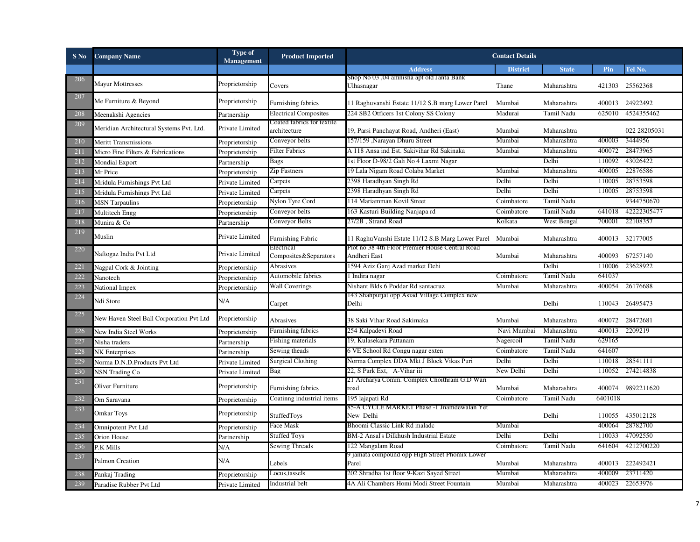| S No | <b>Company Name</b>                      | Type of<br>Management | <b>Product Imported</b>                    |                                                                 | <b>Contact Details</b> |                   |         |                  |
|------|------------------------------------------|-----------------------|--------------------------------------------|-----------------------------------------------------------------|------------------------|-------------------|---------|------------------|
|      |                                          |                       |                                            | <b>Address</b>                                                  | <b>District</b>        | <b>State</b>      | Pin     | Tel No.          |
| 206  | <b>Mayur Mottresses</b>                  | Proprietorship        |                                            | Shop No 03 ,04 amnisha apt old Janta Bank                       |                        |                   |         |                  |
|      |                                          |                       | Covers                                     | Ulhasnagar                                                      | Thane                  | Maharashtra       | 421303  | 25562368         |
| 207  | Me Furniture & Beyond                    | Proprietorship        | Furnishing fabrics                         | 11 Raghuvanshi Estate 11/12 S.B marg Lower Parel                | Mumbai                 | Maharashtra       |         | 400013 24922492  |
| 208  | Meenakshi Agencies                       | Partnership           | <b>Electrical Composites</b>               | 224 SB2 Otficers 1st Colony SS Colony                           | Madurai                | Tamil Nadu        | 625010  | 4524355462       |
| 209  | Meridian Architectural Systems Pvt. Ltd. | Private Limited       | Coated fabrics for textile<br>architecture | 19, Parsi Panchayat Road, Andheri (East)                        | Mumbai                 | Maharashtra       |         | 022 28205031     |
| 210  | <b>Meritt Transmissions</b>              | Proprietorship        | Conveyor belts                             | 157/159, Narayan Dhuru Street                                   | Mumbai                 | Maharashtra       | 400003  | 3444956          |
| 211  | Micro Fine Filters & Fabrications        | Proprietorship        | <b>Filter Fabrics</b>                      | A 118 Ansa ind Est. Sakivihar Rd Sakinaka                       | Mumbai                 | Maharashtra       | 400072  | 28473965         |
| 212  | Mondial Export                           | Partnership           | <b>Bags</b>                                | 1st Floor D-98/2 Gali No 4 Laxmi Nagar                          |                        | Delhi             | 110092  | 43026422         |
| 213  | Mr Price                                 | Proprietorship        | Zip Fastners                               | 19 Lala Nigam Road Colaba Market                                | Mumbai                 | Maharashtra       | 400005  | 22876586         |
| 214  | Mridula Furnishings Pvt Ltd              | Private Limited       | Carpets                                    | 2398 Haradhyan Singh Rd                                         | Delhi                  | Delhi             | 110005  | 28753598         |
| 215  | Mridula Furnishings Pvt Ltd              | Private Limited       | Carpets                                    | 2398 Haradhyan Singh Rd                                         | Delhi                  | Delhi             | 110005  | 28753598         |
| 216  | <b>MSN</b> Tarpaulins                    | Proprietorship        | Nylon Tyre Cord                            | 114 Mariamman Kovil Street                                      | Coimbatore             | Tamil Nadu        |         | 9344750670       |
| 217  | Multitech Engg                           | Proprietorship        | Conveyor belts                             | 163 Kasturi Building Nanjapa rd                                 | Coimbatore             | Tamil Nadu        | 641018  | 42222305477      |
| 218  | Munira & Co                              | Partnership           | Conveyor Belts                             | 27/2B, Strand Road                                              | Kolkata                | West Bengal       | 700001  | 22108357         |
| 219  | Muslin                                   | Private Limited       | Furnishing Fabric                          | 11 RaghuVanshi Estate 11/12 S.B Marg Lower Parel Mumbai         |                        | Maharashtra       |         | 400013 32177005  |
| 220  | Naftogaz India Pvt Ltd                   | Private Limited       | Electrical<br>Composites&Separators        | Plot no 38 4th Floor Premier House Central Road<br>Andheri East | Mumbai                 | Maharashtra       |         | 400093 67257140  |
| 221  | Nagpal Cork & Jointing                   | Proprietorship        | Abrasives                                  | 1594 Aziz Ganj Azad market Dehi                                 |                        | Delhi             | 110006  | 23628922         |
| 222  | Nanotech                                 | Proprietorship        | Automobile fabrics                         | 1 Indira nagar                                                  | Coimbatore             | <b>Tamil Nadu</b> | 641037  |                  |
| 223  | National Impex                           | Proprietorship        | <b>Wall Coverings</b>                      | Nishant Blds 6 Poddar Rd santacruz                              | Mumbai                 | Maharashtra       | 400054  | 26176688         |
| 224  | Ndi Store                                | N/A                   | Carpet                                     | 143 Shahpurjat opp Asiad Village Complex new<br>Delhi           |                        | Delhi             |         | 110043 26495473  |
| 225  | New Haven Steel Ball Corporation Pvt Ltd | Proprietorship        | Abrasives                                  | 38 Saki Vihar Road Sakimaka                                     | Mumbai                 | Maharashtra       | 400072  | 28472681         |
| 226  | New India Steel Works                    | Proprietorship        | Furnishing fabrics                         | 254 Kalpadevi Road                                              | Navi Mumbai            | Maharashtra       | 400013  | 2209219          |
| 227  | Nisha traders                            | Partnership           | Fishing materials                          | 19, Kulasekara Pattanam                                         | Nagercoil              | Tamil Nadu        | 629165  |                  |
| 228  | <b>NK</b> Enterprises                    | Partnership           | Sewing theads                              | 6 VE School Rd Congu nagar exten                                | Coimbatore             | Tamil Nadu        | 641607  |                  |
| 229  | Norma D.N.D.Products Pvt Ltd             | Private Limited       | Surgical Clothing                          | Norma Complex DDA Mkt J Block Vikas Puri                        | Delhi                  | Delhi             | 110018  | 28541111         |
| 230  | <b>NSN Trading Co</b>                    | Private Limited       | Bag                                        | 22, S Park Ext, A-Vihar iii                                     | New Delhi              | Delhi             | 110052  | 274214838        |
| 231  | <b>Oliver Furniture</b>                  | Proprietorship        | Furnishing fabrics                         | 21 Archarya Comm. Complex Choithram G.D Wari<br>road            | Mumbai                 | Maharashtra       | 400074  | 9892211620       |
| 232  | Om Saravana                              | Proprietorship        | Coatinng industrial items                  | 195 lajapati Rd                                                 | Coimbatore             | Tamil Nadu        | 6401018 |                  |
| 233  | <b>Omkar Toys</b>                        | Proprietorship        | StuffedToys                                | 85-A CYCLE MARKET Phase -1 Jnamdewalan Yet<br>New Delhi         |                        | Delhi             |         | 110055 435012128 |
| 234  | <b>Omnipotent Pvt Ltd</b>                | Proprietorship        | Face Mask                                  | Bhoomi Classic Link Rd malade                                   | Mumbai                 |                   | 400064  | 28782700         |
| 235  | Orion House                              | Partnership           | <b>Stuffed Toys</b>                        | BM-2 Ansal's Dilkhush Industrial Estate                         | Delhi                  | Delhi             | 110033  | 47092550         |
| 236  | P.K Mills                                | N/A                   | Sewing Threads                             | 122 Mangalam Road                                               | Coimbatore             | Tamil Nadu        | 641604  | 4212700220       |
| 237  | Palmon Creation                          | N/A                   | Lebels                                     | J jamata compound opp High Street Phomix Lower<br>Parel         | Mumbai                 | Maharashtra       |         | 400013 222492421 |
| 238  | Pankaj Trading                           | Proprietorship        | Locus,tassels                              | 202 Shradha 1st floor 9-Kazi Sayed Street                       | Mumbai                 | Maharashtra       | 400009  | 23711420         |
| 239  | Paradise Rubber Pvt Ltd                  | Private Limited       | Industrial belt                            | 4A Ali Chambers Homi Modi Street Fountain                       | Mumbai                 | Maharashtra       | 400023  | 22653976         |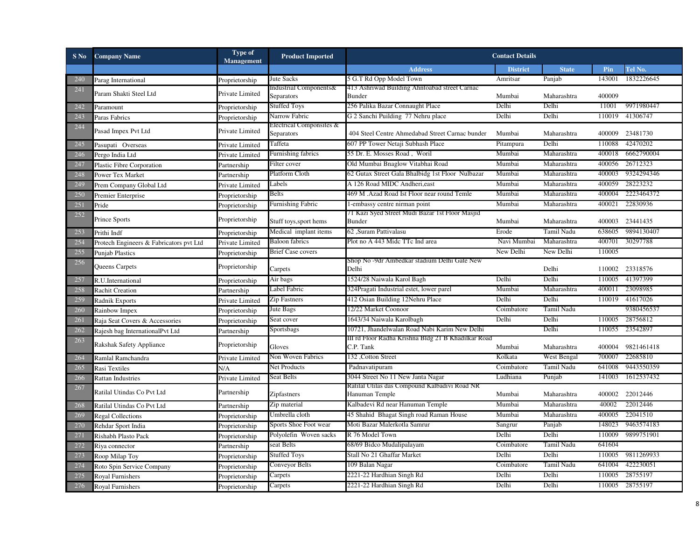| $S$ No | <b>Company Name</b>                     | Type of<br>Management | <b>Product Imported</b>                |                                                                 | <b>Contact Details</b> |              |        |                 |
|--------|-----------------------------------------|-----------------------|----------------------------------------|-----------------------------------------------------------------|------------------------|--------------|--------|-----------------|
|        |                                         |                       |                                        | <b>Address</b>                                                  | <b>District</b>        | <b>State</b> | Pin    | Tel No.         |
| 240    | Parag International                     | Proprietorship        | Jute Sacks                             | 5 G.T Rd Opp Model Town                                         | Amritsar               | Panjab       | 143001 | 1832226645      |
| 241    | Param Shakti Steel Ltd                  |                       | Industrial Components&                 | 413 Ashriwad Building Ahntoabad street Carnac                   |                        |              |        |                 |
|        |                                         | Private Limited       | Separators                             | <b>Bunder</b>                                                   | Mumbai                 | Maharashtra  | 400009 |                 |
| 242    | Paramount                               | Proprietorship        | <b>Stuffed Toys</b>                    | 256 Palika Bazar Connaught Place                                | Delhi                  | Delhi        | 11001  | 9971980447      |
| 243    | Paras Fabrics                           | Proprietorship        | Narrow Fabric                          | G 2 Sanchi Puilding 77 Nehru place                              | Delhi                  | Delhi        | 110019 | 41306747        |
| 244    | Pasad Impex Pvt Ltd                     | Private Limited       | Electrical Componsites &<br>Separators | 404 Steel Centre Ahmedabad Street Carnac bunder                 | Mumbai                 | Maharashtra  | 400009 | 23481730        |
| 245    | Pasupati Overseas                       | Private Limited       | Taffeta                                | 607 PP Tower Netaji Subhash Place                               | Pitampura              | Delhi        | 110088 | 42470202        |
| 246    | Pergo India Ltd                         | Private Limited       | Furnishing fabrics                     | 55 Dr. E. Mosses Road, Woril                                    | Mumbai                 | Maharashtra  | 400018 | 6662790004      |
| 247    | Plastic Fibre Corporation               | Partnership           | Filter cover                           | Old Mumbai Bnaglow Vitabhai Road                                | Mumbai                 | Maharashtra  | 400056 | 26712323        |
| 248    | Power Tex Market                        | Partnership           | Platform Cloth                         | 62 Gutax Street Gala Bhalbidg 1st Floor Nulbazar                | Mumbai                 | Maharashtra  | 400003 | 9324294346      |
| 249    | Prem Company Global Ltd                 | Private Limited       | Labels                                 | A 126 Road MIDC Andheri, east                                   | Mumbai                 | Maharashtra  | 400059 | 28223232        |
| 250    | Premier Enterprise                      | Proprietorship        | Belts                                  | 469 M . Azad Road Ist Floor near round Temle                    | Mumbai                 | Maharashtra  | 400004 | 2223464372      |
| 251    | Pride                                   | Proprietorship        | <b>Furnishing Fabric</b>               | 1-embassy centre nirman point                                   | Mumbai                 | Maharashtra  | 400021 | 22830936        |
| 252    | Prince Sports                           | Proprietorship        | Stuff toys, sport hems                 | /1 Kazı Syed Street Mudi Bazar 1st Floor Masjid<br>Bunder       | Mumbai                 | Maharashtra  | 400003 | 23441435        |
| 253    | Prithi Indf                             | Proprietorship        | Medical implant items                  | 62 ,Suram Pattivalasu                                           | Erode                  | Tamil Nadu   | 638605 | 9894130407      |
| 254    | Protech Engineers & Fabricators pvt Ltd | Private Limited       | <b>Baloon</b> fabrics                  | Plot no A 443 Mide TTc Ind area                                 | Navi Mumbai            | Maharashtra  | 400701 | 30297788        |
| 255    | <b>Punjab Plastics</b>                  | Proprietorship        | <b>Brief Case covers</b>               |                                                                 | New Delhi              | New Delhi    | 110005 |                 |
| 256    | Queens Carpets                          | Proprietorship        | Carpets                                | Shop No -9dr Ambedkar stadium Delhi Gate New<br>Delhi           |                        | Delhi        |        | 110002 23318576 |
| 257    | R.U.International                       | Proprietorship        | Air bags                               | 1524/28 Naiwala Karol Bagh                                      | Delhi                  | Delhi        | 110005 | 41397399        |
| 258    | <b>Rachit Creation</b>                  | Partnership           | Label Fabric                           | 324Pragati Industrial estet, lower parel                        | Mumbai                 | Maharashtra  | 400011 | 23098985        |
| 259    | Radnik Exports                          | Private Limited       | Zip Fastners                           | 412 Osian Building 12Nehru Place                                | Delhi                  | Delhi        | 110019 | 41617026        |
| 260    | Rainbow Impex                           | Proprietorship        | Jute Bags                              | 12/22 Market Coonoor                                            | Coimbatore             | Tamil Nadu   |        | 9380456537      |
| 261    | Raja Seat Covers & Accessories          | Proprietorship        | Seat cover                             | 1643/34 Naiwala Karolbagh                                       | Delhi                  | Delhi        | 110005 | 28756812        |
| 262    | Rajesh bag InternationalPvt Ltd         | Partnership           | Sportsbags                             | 10721, Jhandelwalan Road Nabi Karim New Delhi                   |                        | Delhi        | 110055 | 23542897        |
| 263    |                                         |                       |                                        | III rd Floor Radha Krishna Bldg 21 B Khadilkar Road             |                        |              |        |                 |
|        | Rakshak Safety Appliance                | Proprietorship        | Gloves                                 | C.P. Tank                                                       | Mumbai                 | Maharashtra  | 400004 | 9821461418      |
| 264    | Ramlal Ramchandra                       | Private Limited       | Non Woven Fabrics                      | 132, Cotton Street                                              | Kolkata                | West Bengal  | 700007 | 22685810        |
| 265    | Rasi Textiles                           | N/A                   | <b>Net Products</b>                    | Padnavatipuram                                                  | Coimbatore             | Tamil Nadu   | 641008 | 9443550359      |
| 266    | <b>Rattan Industries</b>                | Private Limited       | Seat Belts                             | 3044 Street No 11 New Janta Nagar                               | Ludhiana               | Punjab       | 141003 | 1612537432      |
| 267    | Ratilal Utindas Co Pvt Ltd              | Partnership           | Zipfastners                            | Ratilal Utilas das Compound Kalbadivi Road NR<br>Hanuman Temple | Mumbai                 | Maharashtra  | 400002 | 22012446        |
| 268    | Ratilal Utindas Co Pvt Ltd              | Partnership           | Zip material                           | Kalbadevi Rd near Hanuman Temple                                | Mumbai                 | Maharashtra  | 40002  | 22012446        |
| 269    | <b>Regal Collections</b>                | Proprietorship        | Umbrella cloth                         | 45 Shahid Bhagat Singh road Raman House                         | Mumbai                 | Maharashtra  | 400005 | 22041510        |
| 270    | Rehdar Sport India                      | Proprietorship        | Sports Shoe Foot wear                  | Moti Bazar Malerkotla Samrur                                    | Sangrur                | Panjab       | 148023 | 9463574183      |
| 271    | Rishabh Plasto Pack                     | Proprietorship        | Polyolefin Woven sacks                 | R 76 Model Town                                                 | Delhi                  | Delhi        | 110009 | 9899751901      |
| 272    | Riya connector                          | Partnership           | seat Belts                             | 68/69 Bidco Mudalipalayam                                       | Coimbatore             | Tamil Nadu   | 641604 |                 |
| 273    | Roop Milap Toy                          | Proprietorship        | <b>Stuffed Toys</b>                    | Stall No 21 Ghaffar Market                                      | Delhi                  | Delhi        | 110005 | 9811269933      |
| 274    | Roto Spin Service Company               | Proprietorship        | Conveyor Belts                         | 109 Balan Nagar                                                 | Coimbatore             | Tamil Nadu   | 641004 | 422230051       |
| 275    | <b>Royal Furnishers</b>                 | Proprietorship        | Carpets                                | 2221-22 Hardhian Singh Rd                                       | Delhi                  | Delhi        | 110005 | 28755197        |
| 276    | Royal Furnishers                        | Proprietorship        | Carpets                                | 2221-22 Hardhian Singh Rd                                       | Delhi                  | Delhi        | 110005 | 28755197        |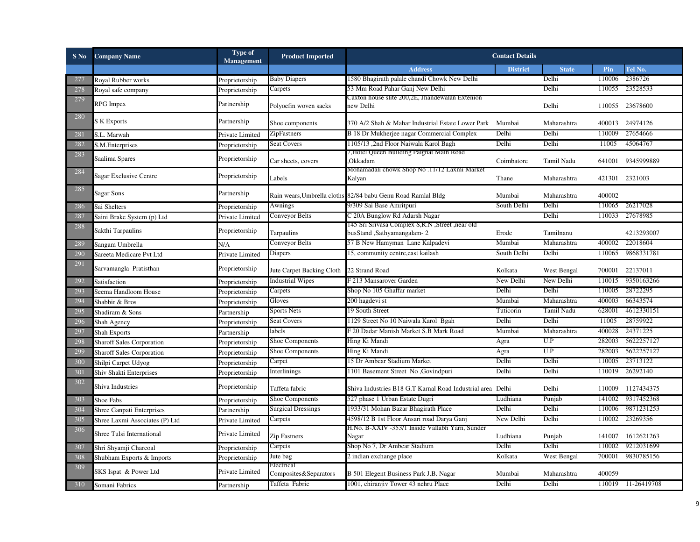| $S$ No | <b>Company Name</b>              | Type of<br><b>Management</b> | <b>Product Imported</b>             |                                                              | <b>Contact Details</b> |              |        |                    |
|--------|----------------------------------|------------------------------|-------------------------------------|--------------------------------------------------------------|------------------------|--------------|--------|--------------------|
|        |                                  |                              |                                     | <b>Address</b>                                               | <b>District</b>        | <b>State</b> | Pin    | Tel No.            |
| 277    | Royal Rubber works               | Proprietorship               | <b>Baby Diapers</b>                 | 1580 Bhagirath palale chandi Chowk New Delhi                 |                        | Delhi        | 110006 | 2386726            |
| 278    | Royal safe company               | Proprietorship               | Carpets                             | 53 Mm Road Pahar Ganj New Delhi                              |                        | Delhi        | 110055 | 23528533           |
| 279    | RPG Impex                        | Partnership                  |                                     | Caxton house slite 200,2E, Jhandewalan Extenion              |                        |              |        |                    |
|        |                                  |                              | Polyoefin woven sacks               | new Delhi                                                    |                        | Delhi        |        | 110055 23678600    |
| 280    | S K Exports                      | Partnership                  | Shoe components                     | 370 A/2 Shah & Mahar Industrial Estate Lower Park Mumbai     |                        | Maharashtra  |        | 400013 24974126    |
| 281    | S.L. Marwah                      | Private Limited              | ZipFastners                         | B 18 Dr Mukherjee nagar Commercial Complex                   | Delhi                  | Delhi        | 110009 | 27654666           |
| 282    | S.M.Enterprises                  | Proprietorship               | <b>Seat Covers</b>                  | 1105/13,2nd Floor Naiwala Karol Bagh                         | Delhi                  | Delhi        | 11005  | 45064767           |
| 283    | Saalima Spares                   | Proprietorship               | Car sheets, covers                  | ,Hotel Queen Building Palghat Main Road<br>Okkadam           | Coimbatore             | Tamil Nadu   | 641001 | 9345999889         |
| 284    | <b>Sagar Exclusive Centre</b>    | Proprietorship               | Labels                              | Mohamadali chowk Shop No .11/12 Laxmi Market<br>Kalyan       | Thane                  | Maharashtra  |        | 421301 2321003     |
| 285    | Sagar Sons                       | Partnership                  |                                     | Rain wears, Umbrella cloths 82/84 babu Genu Road Ramlal Bldg | Mumbai                 | Maharashtra  | 400002 |                    |
| 286    | Sai Shelters                     | Proprietorship               | Awnings                             | 9/309 Sai Base Amritpuri                                     | South Delhi            | Delhi        | 110065 | 26217028           |
| 287    | Saini Brake System (p) Ltd       | Private Limited              | Conveyor Belts                      | C 20A Bunglow Rd Adarsh Nagar                                |                        | Delhi        | 110033 | 27678985           |
| 288    |                                  |                              |                                     | 145 Sri Srivasa Complex S,R.N ,Street ,near old              |                        |              |        |                    |
|        | Sakthi Tarpaulins                | Proprietorship               | Tarpaulins                          | busStand, Sathyamangalam-2                                   | Erode                  | Tamilnanu    |        | 4213293007         |
| 289    | Sangam Umbrella                  | N/A                          | Conveyor Belts                      | 57 B New Hamyman Lane Kalpadevi                              | Mumbai                 | Maharashtra  | 400002 | 22018604           |
| 290    | Sareeta Medicare Pvt Ltd         | Private Limited              | Diapers                             | 15, community centre, east kailash                           | South Delhi            | Delhi        | 110065 | 9868331781         |
| 291    | Sarvamangla Pratisthan           | Proprietorship               | Jute Carpet Backing Cloth           | 22 Strand Road                                               | Kolkata                | West Bengal  | 700001 | 22137011           |
| 292    | Satisfaction                     | Proprietorship               | <b>Industrial Wipes</b>             | F 213 Mansarover Garden                                      | New Delhi              | New Delhi    | 110015 | 9350163266         |
| 293    | Seema Handloom House             | Proprietorship               | Carpets                             | Shop No 105 Ghaffar market                                   | Delhi                  | Delhi        | 110005 | 28722295           |
| 294    | Shabbir & Bros                   | Proprietorship               | Gloves                              | 200 hagdevi st                                               | Mumbai                 | Maharashtra  | 400003 | 66343574           |
| 295    | Shadiram & Sons                  | Partnership                  | <b>Sports Nets</b>                  | 19 South Street                                              | Tuticorin              | Tamil Nadu   | 628001 | 4612330151         |
| 296    | Shah Agency                      | Proprietorship               | <b>Seat Covers</b>                  | 1129 Street No 10 Naiwala Karol Bgah                         | Delhi                  | Delhi        | 11005  | 28759922           |
| 297    | <b>Shah Exports</b>              | Partnership                  | labels                              | F 20.Dadar Manish Market S.B Mark Road                       | Mumbai                 | Maharashtra  | 400028 | 24371225           |
| 298    | <b>Sharoff Sales Corporation</b> | Proprietorship               | Shoe Components                     | Hing Ki Mandi                                                | Agra                   | U.P          | 282003 | 5622257127         |
| 299    | <b>Sharoff Sales Corporation</b> | Proprietorship               | Shoe Components                     | Hing Ki Mandi                                                | Agra                   | U.P          | 282003 | 5622257127         |
| 300    | Shilpi Carpet Udyog              | Proprietorship               | Carpet                              | 15 Dr Ambear Stadium Market                                  | Delhi                  | Delhi        | 110005 | 23713122           |
| 301    | Shiv Shakti Enterprises          | Proprietorship               | Interlinings                        | 1101 Basement Street No ,Govindpuri                          | Delhi                  | Delhi        | 110019 | 26292140           |
| 302    | Shiva Industries                 | Proprietorship               | Taffeta fabric                      | Shiva Industries B18 G.T Karnal Road Industrial area Delhi   |                        | Delhi        | 110009 | 1127434375         |
| 303    | Shoe Fabs                        | Proprietorship               | <b>Shoe Components</b>              | 527 phase 1 Urban Estate Dugri                               | Ludhiana               | Punjab       | 141002 | 9317452368         |
| 304    | <b>Shree Ganpati Enterprises</b> | Partnership                  | <b>Surgical Dressings</b>           | 1933/31 Mohan Bazar Bhagirath Place                          | Delhi                  | Delhi        | 110006 | 9871231253         |
| 305    | Shree Laxmi Associates (P) Ltd   | Private Limited              | Carpets                             | 4598/12 B 1st Floor Ansari road Darya Ganj                   | New Delhi              | Delhi        | 110002 | 23269356           |
| 306    | Shree Tulsi International        | Private Limited              | Zip Fastners                        | H.No. B-XXIV -353/1 Inside Vallabh Yarn, Sunder<br>Nagar     | Ludhiana               | Punjab       | 141007 | 1612621263         |
| 307    | Shri Shyamji Charcoal            | Proprietorship               | Carpets                             | Shop No 7, Dr Ambear Stadium                                 | Delhi                  | Delhi        | 110002 | 9212031699         |
| 308    | Shubham Exports & Imports        | Proprietorship               | Jute bag                            | 2 indian exchange place                                      | Kolkata                | West Bengal  | 700001 | 9830785156         |
| 309    | SKS Ispat & Power Ltd            | Private Limited              | Electrical<br>Composites&Separators | B 501 Elegent Business Park J.B. Nagar                       | Mumbai                 | Maharashtra  | 400059 |                    |
| 310    | Somani Fabrics                   | Partnership                  | Taffeta Fabric                      | 1001, chiranjiv Tower 43 nehru Place                         | Delhi                  | Delhi        |        | 110019 11-26419708 |
|        |                                  |                              |                                     |                                                              |                        |              |        |                    |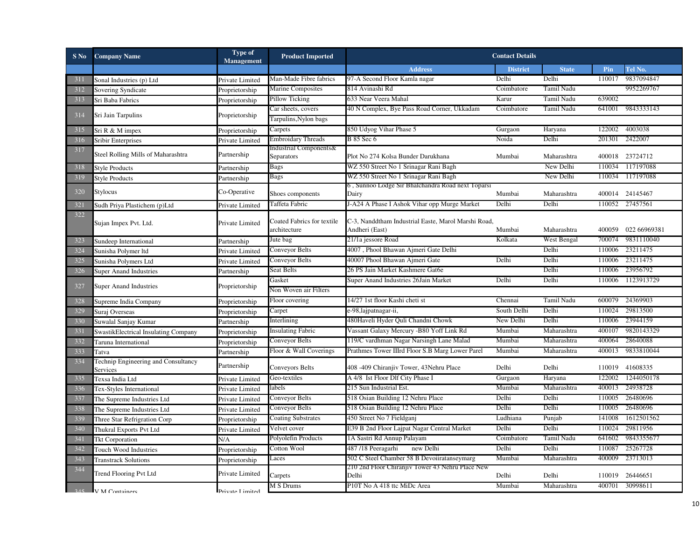| $S$ No | <b>Company Name</b>                             | Type of<br>Management | <b>Product Imported</b>                    |                                                                       | <b>Contact Details</b> |              |        |                 |
|--------|-------------------------------------------------|-----------------------|--------------------------------------------|-----------------------------------------------------------------------|------------------------|--------------|--------|-----------------|
|        |                                                 |                       |                                            | <b>Address</b>                                                        | <b>District</b>        | <b>State</b> | Pin    | Tel No.         |
| 311    | Sonal Industries (p) Ltd                        | Private Limited       | Man-Made Fibre fabrics                     | 97-A Second Floor Kamla nagar                                         | Delhi                  | Delhi        | 110017 | 9837094847      |
| 312    | Sovering Syndicate                              | Proprietorship        | <b>Marine Composites</b>                   | 814 Avinashi Rd                                                       | Coimbatore             | Tamil Nadu   |        | 9952269767      |
| 313    | Sri Baba Fabrics                                | Proprietorship        | Pillow Ticking                             | 633 Near Veera Mahal                                                  | Karur                  | Tamil Nadu   | 639002 |                 |
| 314    | Sri Jain Tarpulins                              |                       | Car sheets, covers                         | 40 N Complex, Bye Pass Road Corner, Ukkadam                           | Coimbatore             | Tamil Nadu   | 641001 | 9843333143      |
|        |                                                 | Proprietorship        | Tarpulins, Nylon bags                      |                                                                       |                        |              |        |                 |
| 315    | Sri R & M impex                                 | Proprietorship        | Carpets                                    | 850 Udyog Vihar Phase 5                                               | Gurgaon                | Haryana      | 122002 | 4003038         |
| 316    | Sribir Enterprises                              | Private Limited       | <b>Embroidary Threads</b>                  | B 85 Sec 6                                                            | Noida                  | Delhi        | 201301 | 2422007         |
| 317    | Steel Rolling Mills of Maharashtra              | Partnership           | Industrial Components&<br>Separators       | Plot No 274 Kolsa Bunder Darukhana                                    | Mumbai                 | Maharashtra  |        | 400018 23724712 |
| 318    | <b>Style Products</b>                           | Partnership           | Bags                                       | WZ 550 Street No 1 Srinagar Rani Bagh                                 |                        | New Delhi    | 110034 | 117197088       |
| 319    | <b>Style Products</b>                           | Partnership           | <b>Bags</b>                                | WZ 550 Street No 1 Srinagar Rani Bagh                                 |                        | New Delhi    | 110034 | 117197088       |
| 320    | Stylocus                                        | Co-Operative          | Shoes components                           | 6, Sunnoo Lodge Sir Bhalchandra Road next Toparsi<br>Dairy            | Mumbai                 | Maharashtra  |        | 400014 24145467 |
| 321    | Sudh Priya Plastichem (p)Ltd                    | Private Limited       | Taffeta Fabric                             | J-A24 A Phase I Ashok Vihar opp Murge Market                          | Delhi                  | Delhi        | 110052 | 27457561        |
| 322    | Sujan Impex Pvt. Ltd.                           | Private Limited       | Coated Fabrics for textile<br>architecture | C-3, Nanddtham Industrial Easte, Marol Marshi Road,<br>Andheri (East) | Mumbai                 | Maharashtra  | 400059 | 022 66969381    |
| 323    | Sundeep International                           | Partnership           | Jute bag                                   | 21/1a jessore Road                                                    | Kolkata                | West Bengal  | 700074 | 9831110040      |
| 324    | Sunisha Polymer ltd                             | Private Limited       | Conveyor Belts                             | 4007, Phool Bhawan Ajmeri Gate Delhi                                  |                        | Delhi        | 110006 | 23211475        |
| 325    | Sunisha Polymers Ltd                            | Private Limited       | Conveyor Belts                             | 40007 Phool Bhawan Ajmeri Gate                                        | Delhi                  | Delhi        | 110006 | 23211475        |
| 326    | <b>Super Anand Industries</b>                   | Partnership           | Seat Belts                                 | 26 PS Jain Market Kashmere Gat6e                                      |                        | Delhi        | 110006 | 23956792        |
|        |                                                 |                       | Gasket                                     | Super Anand Industries 26Jain Market                                  | Delhi                  | Delhi        | 110006 | 1123913729      |
| 327    | <b>Super Anand Industries</b>                   | Proprietorship        | Non Woven air Filters                      |                                                                       |                        |              |        |                 |
| 328    | Supreme India Company                           | Proprietorship        | Floor covering                             | 14/27 1st floor Kashi cheti st                                        | Chennai                | Tamil Nadu   | 600079 | 24369903        |
| 329    | Suraj Overseas                                  | Proprietorship        | Carpet                                     | e-98,lajpatnagar-ii,                                                  | South Delhi            | Delhi        | 110024 | 29813500        |
| 330    | Suwalal Sanjay Kumar                            | Partnership           | Interlining                                | 480Haveli Hyder Quli Chandni Chowk                                    | New Delhi              | Delhi        | 110006 | 23944159        |
| 331    | SwastikElectrical Insulating Company            | Proprietorship        | <b>Insulating Fabric</b>                   | Vassant Galaxy Mercury -B80 Yoff Link Rd                              | Mumbai                 | Maharashtra  | 400107 | 9820143329      |
| 332    | Taruna International                            | Proprietorship        | Conveyor Belts                             | 119/C vardhman Nagar Narsingh Lane Malad                              | Mumbai                 | Maharashtra  | 400064 | 28640088        |
| 333    | Tatva                                           | Partnership           | Floor & Wall Coverings                     | Prathmes Tower IIIrd Floor S.B Marg Lower Parel                       | Mumbai                 | Maharashtra  | 400013 | 9833810044      |
| 334    | Technip Engineering and Consultancy<br>Services | Partnership           | Conveyors Belts                            | 408 -409 Chiranjiv Tower, 43Nehru Place                               | Delhi                  | Delhi        |        | 110019 41608335 |
| 335    | Texsa India Ltd                                 | Private Limited       | Geo-textiles                               | A 4/8 Ist Floor Dlf City Phase I                                      | Gurgaon                | Haryana      | 122002 | 1244050178      |
| 336    | Tex-Styles International                        | Private Limited       | labels                                     | 215 Sun Industrial Est.                                               | Mumbai                 | Maharashtra  | 400013 | 24938728        |
| 337    | The Supreme Industries Ltd                      | Private Limited       | Conveyor Belts                             | 518 Osian Building 12 Nehru Place                                     | Delhi                  | Delhi        | 110005 | 26480696        |
| 338    | The Supreme Industries Ltd                      | Private Limited       | Conveyor Belts                             | 518 Osian Building 12 Nehru Place                                     | Delhi                  | Delhi        | 110005 | 26480696        |
| 339    | Three Star Refrigration Corp                    | Proprietorship        | <b>Coating Substrates</b>                  | 450 Street No 7 Fieldganj                                             | Ludhiana               | Punjab       | 141008 | 1612501562      |
| 340    | Thukral Exports Pvt Ltd                         | Private Limited       | Velvet cover                               | E39 B 2nd Floor Lajpat Nagar Central Market                           | Delhi                  | Delhi        | 110024 | 29811956        |
| 341    | <b>Tkt Corporation</b>                          | N/A                   | Polyolefin Products                        | 1A Sastri Rd Annup Palayam                                            | Coimbatore             | Tamil Nadu   | 641602 | 9843355677      |
| 342    | Touch Wood Industries                           | Proprietorship        | Cotton Wool                                | 487/18 Peeragarhi<br>new Delhi                                        | Delhi                  | Delhi        | 110087 | 25267728        |
| 343    | <b>Transtrack Solutions</b>                     | Proprietorship        | Laces                                      | 502 C Steel Chamber 58 B Devoiiratanseymarg                           | Mumbai                 | Maharashtra  | 400009 | 23713013        |
| 344    | <b>Trend Flooring Pvt Ltd</b>                   | Private Limited       | Carpets                                    | 210 2nd Floor Chiranjiv Tower 43 Nehru Place New<br>Delhi             | Delhi                  | Delhi        | 110019 | 26446651        |
|        | 245 V M Containers                              | Drivate I imited      | M S Drums                                  | P10T No A 418 ttc MiDc Area                                           | Mumbai                 | Maharashtra  | 400701 | 30998611        |